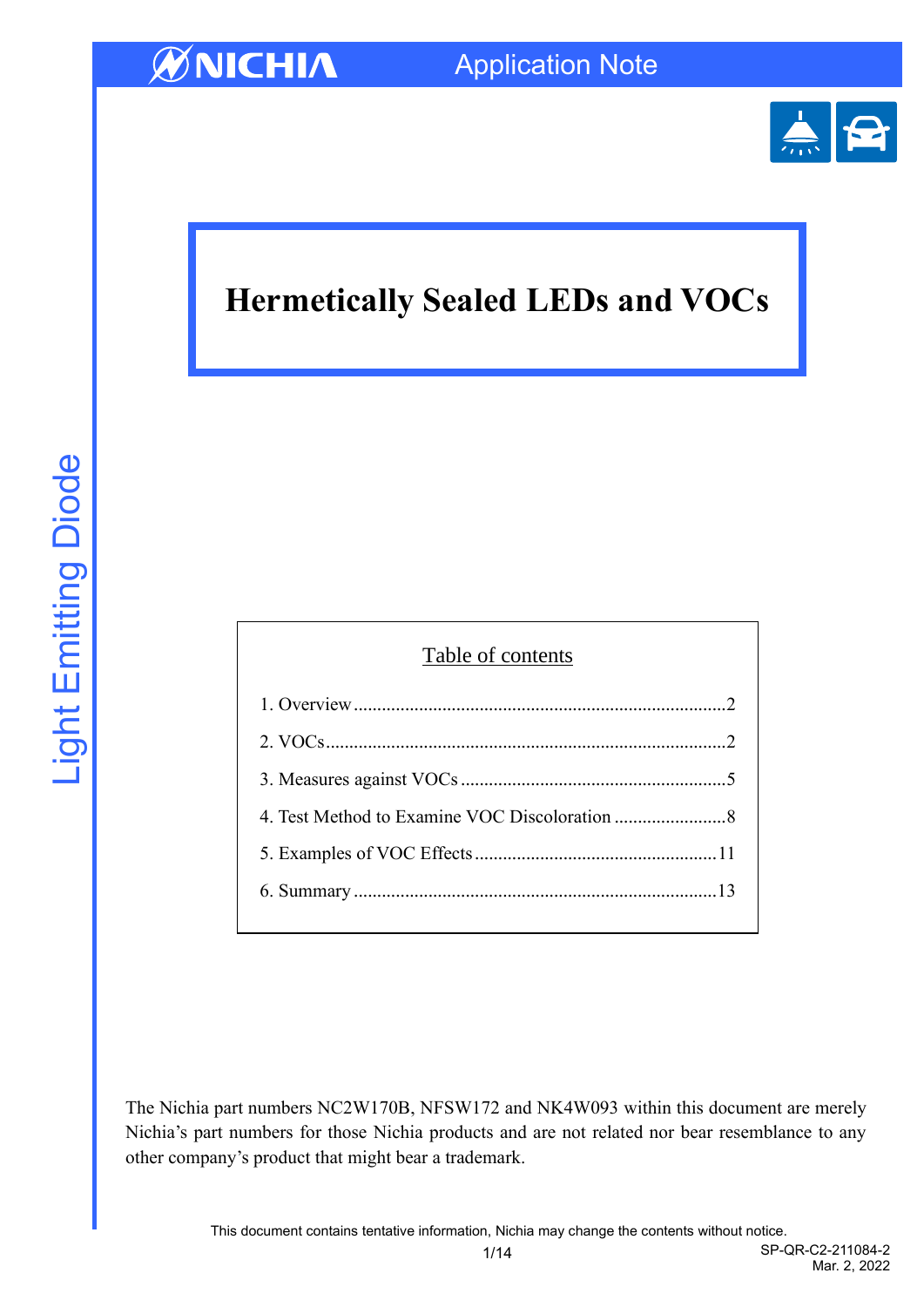

# **Hermetically Sealed LEDs and VOCs**

| Table of contents |  |  |  |
|-------------------|--|--|--|
|                   |  |  |  |
|                   |  |  |  |
|                   |  |  |  |
|                   |  |  |  |
|                   |  |  |  |
|                   |  |  |  |
|                   |  |  |  |

The Nichia part numbers NC2W170B, NFSW172 and NK4W093 within this document are merely Nichia's part numbers for those Nichia products and are not related nor bear resemblance to any other company's product that might bear a trademark.

1/14 SP-QR-C2-211084-2 Mar. 2, 2022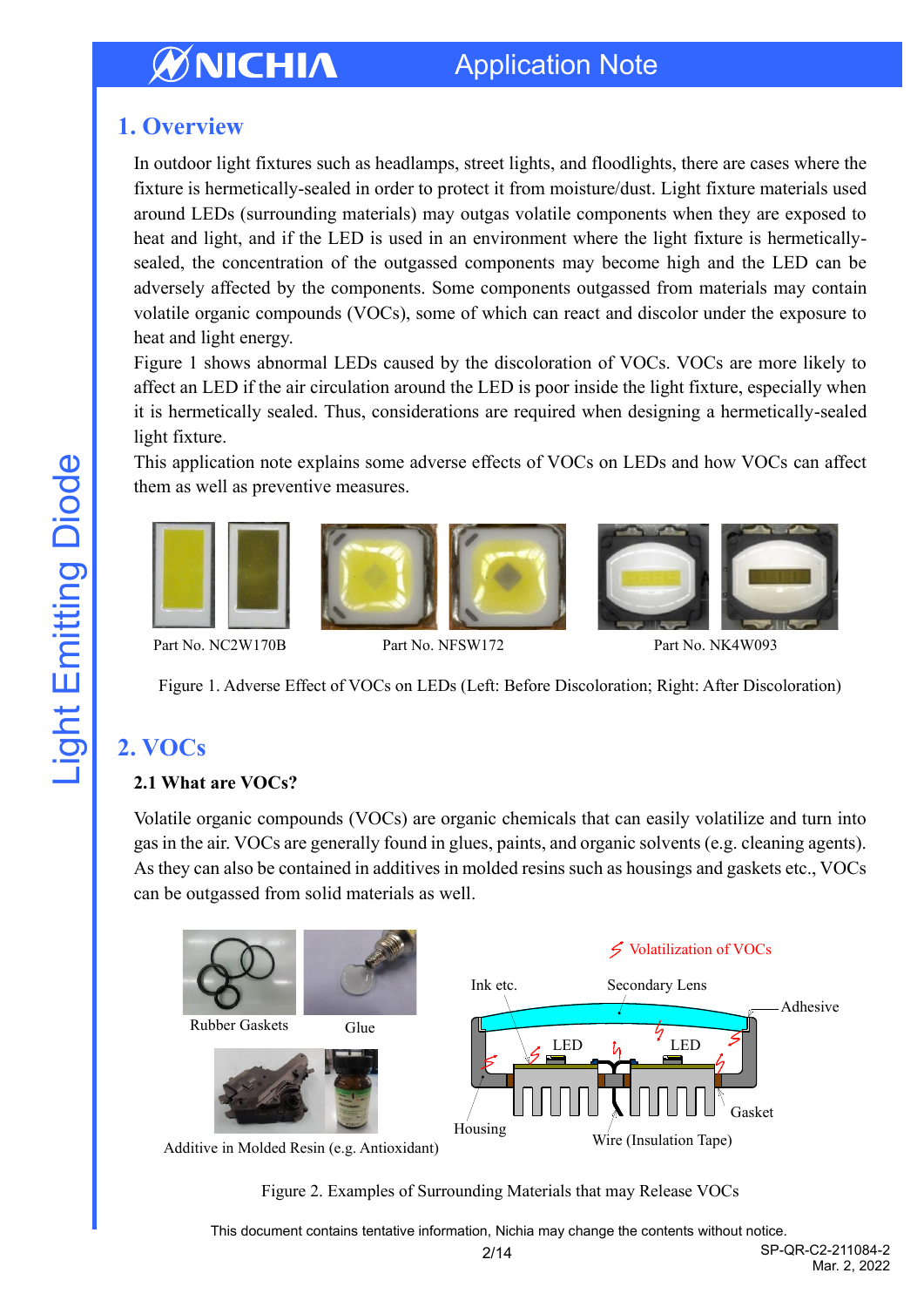## Application Note

## <span id="page-1-0"></span>**1. Overview**

In outdoor light fixtures such as headlamps, street lights, and floodlights, there are cases where the fixture is hermetically-sealed in order to protect it from moisture/dust. Light fixture materials used around LEDs (surrounding materials) may outgas volatile components when they are exposed to heat and light, and if the LED is used in an environment where the light fixture is hermeticallysealed, the concentration of the outgassed components may become high and the LED can be adversely affected by the components. Some components outgassed from materials may contain volatile organic compounds (VOCs), some of which can react and discolor under the exposure to heat and light energy.

Figure 1 shows abnormal LEDs caused by the discoloration of VOCs. VOCs are more likely to affect an LED if the air circulation around the LED is poor inside the light fixture, especially when it is hermetically sealed. Thus, considerations are required when designing a hermetically-sealed light fixture.

This application note explains some adverse effects of VOCs on LEDs and how VOCs can affect them as well as preventive measures.



Part No. NC2W170B Part No. NFSW172 Part No. NK4W093

Figure 1. Adverse Effect of VOCs on LEDs (Left: Before Discoloration; Right: After Discoloration)

## <span id="page-1-1"></span>**2. VOCs**

#### **2.1 What are VOCs?**

Volatile organic compounds (VOCs) are organic chemicals that can easily volatilize and turn into gas in the air. VOCs are generally found in glues, paints, and organic solvents (e.g. cleaning agents). As they can also be contained in additives in molded resins such as housings and gaskets etc., VOCs can be outgassed from solid materials as well.



Additive in Molded Resin (e.g. Antioxidant)

Figure 2. Examples of Surrounding Materials that may Release VOCs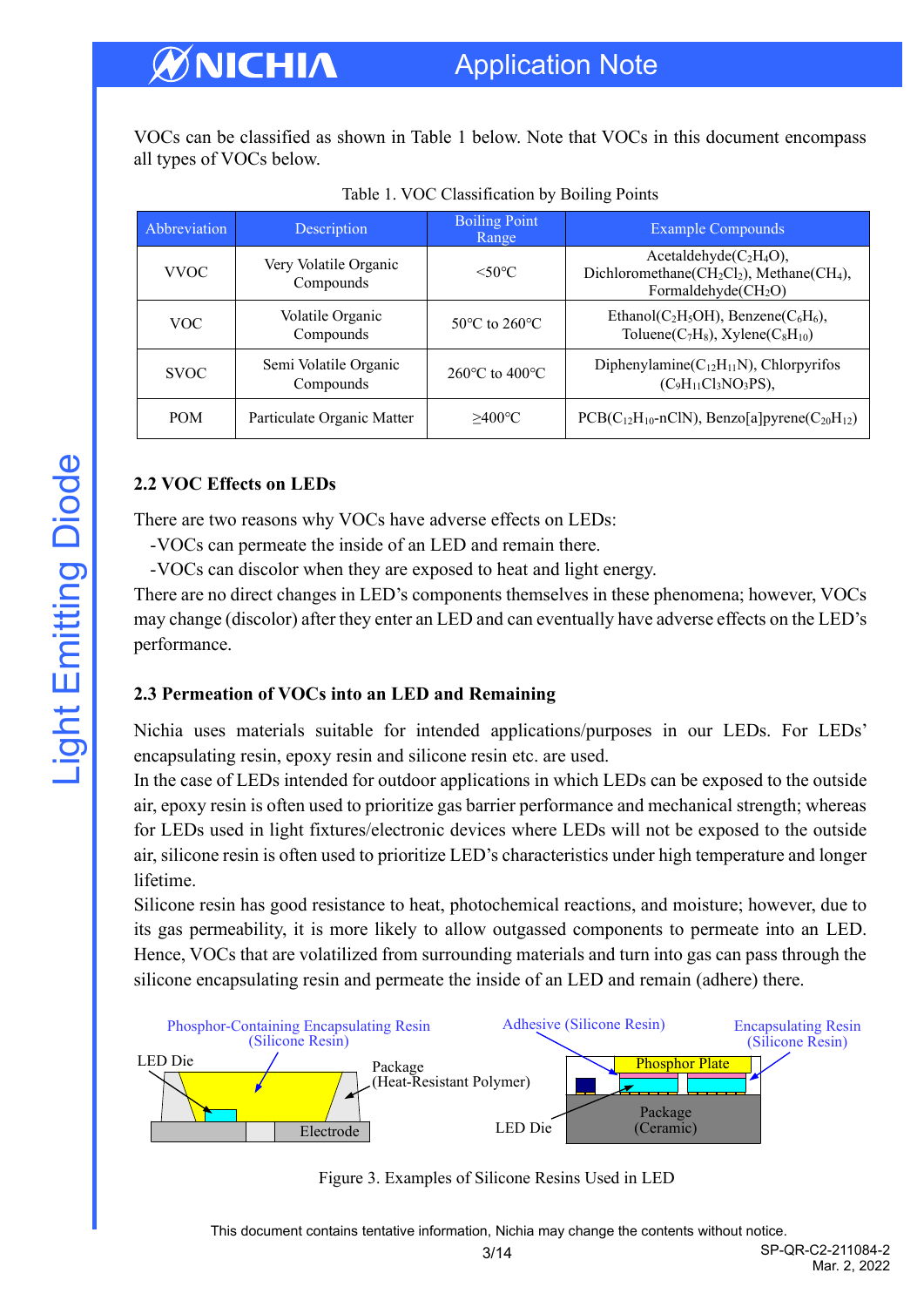VOCs can be classified as shown in Table 1 below. Note that VOCs in this document encompass all types of VOCs below.

| Abbreviation | Description                        | <b>Boiling Point</b><br>Range      | <b>Example Compounds</b>                                                                                                              |  |
|--------------|------------------------------------|------------------------------------|---------------------------------------------------------------------------------------------------------------------------------------|--|
| <b>VVOC</b>  | Very Volatile Organic<br>Compounds | $< 50^{\circ}$ C                   | Acetaldehyde $(C_2H_4O)$ ,<br>Dichloromethane(CH <sub>2</sub> Cl <sub>2</sub> ), Methane(CH <sub>4</sub> ),<br>Formaldehyde $(CH_2O)$ |  |
| VOC.         | Volatile Organic<br>Compounds      | $50^{\circ}$ C to $260^{\circ}$ C  | Ethanol(C <sub>2</sub> H <sub>5</sub> OH), Benzene(C <sub>6</sub> H <sub>6</sub> ),<br>Toluene( $C_7H_8$ ), Xylene( $C_8H_{10}$ )     |  |
| <b>SVOC</b>  | Semi Volatile Organic<br>Compounds | 260 $\degree$ C to 400 $\degree$ C | Diphenylamine( $C_{12}H_{11}N$ ), Chlorpyrifos<br>$(C_9H_{11}Cl_3NO_3PS)$ ,                                                           |  |
| <b>POM</b>   | Particulate Organic Matter         | $>400^{\circ}$ C                   | $PCB(C_{12}H_{10} - nCIN)$ , Benzo[a]pyrene(C <sub>20</sub> H <sub>12</sub> )                                                         |  |

Table 1. VOC Classification by Boiling Points

#### **2.2 VOC Effects on LEDs**

There are two reasons why VOCs have adverse effects on LEDs:

-VOCs can permeate the inside of an LED and remain there.

-VOCs can discolor when they are exposed to heat and light energy.

There are no direct changes in LED's components themselves in these phenomena; however, VOCs may change (discolor) after they enter an LED and can eventually have adverse effects on the LED's performance.

#### **2.3 Permeation of VOCs into an LED and Remaining**

Nichia uses materials suitable for intended applications/purposes in our LEDs. For LEDs' encapsulating resin, epoxy resin and silicone resin etc. are used.

In the case of LEDs intended for outdoor applications in which LEDs can be exposed to the outside air, epoxy resin is often used to prioritize gas barrier performance and mechanical strength; whereas for LEDs used in light fixtures/electronic devices where LEDs will not be exposed to the outside air, silicone resin is often used to prioritize LED's characteristics under high temperature and longer lifetime.

Silicone resin has good resistance to heat, photochemical reactions, and moisture; however, due to its gas permeability, it is more likely to allow outgassed components to permeate into an LED. Hence, VOCs that are volatilized from surrounding materials and turn into gas can pass through the silicone encapsulating resin and permeate the inside of an LED and remain (adhere) there.



Figure 3. Examples of Silicone Resins Used in LED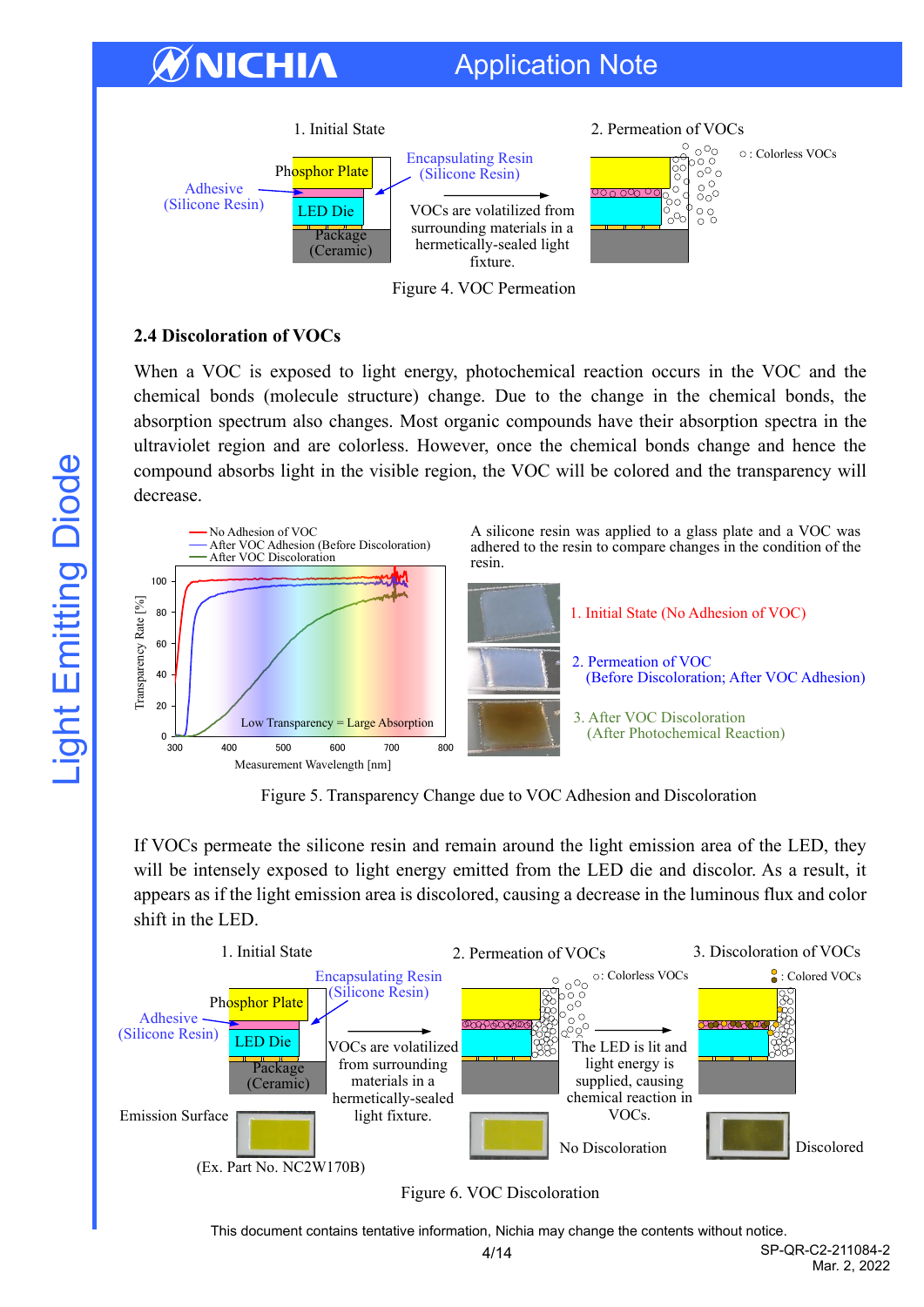## Application Note



Figure 4. VOC Permeation

#### **2.4 Discoloration of VOCs**

WNICHIA

When a VOC is exposed to light energy, photochemical reaction occurs in the VOC and the chemical bonds (molecule structure) change. Due to the change in the chemical bonds, the absorption spectrum also changes. Most organic compounds have their absorption spectra in the ultraviolet region and are colorless. However, once the chemical bonds change and hence the compound absorbs light in the visible region, the VOC will be colored and the transparency will decrease.



Figure 5. Transparency Change due to VOC Adhesion and Discoloration

If VOCs permeate the silicone resin and remain around the light emission area of the LED, they will be intensely exposed to light energy emitted from the LED die and discolor. As a result, it appears as if the light emission area is discolored, causing a decrease in the luminous flux and color shift in the LED.



#### Figure 6. VOC Discoloration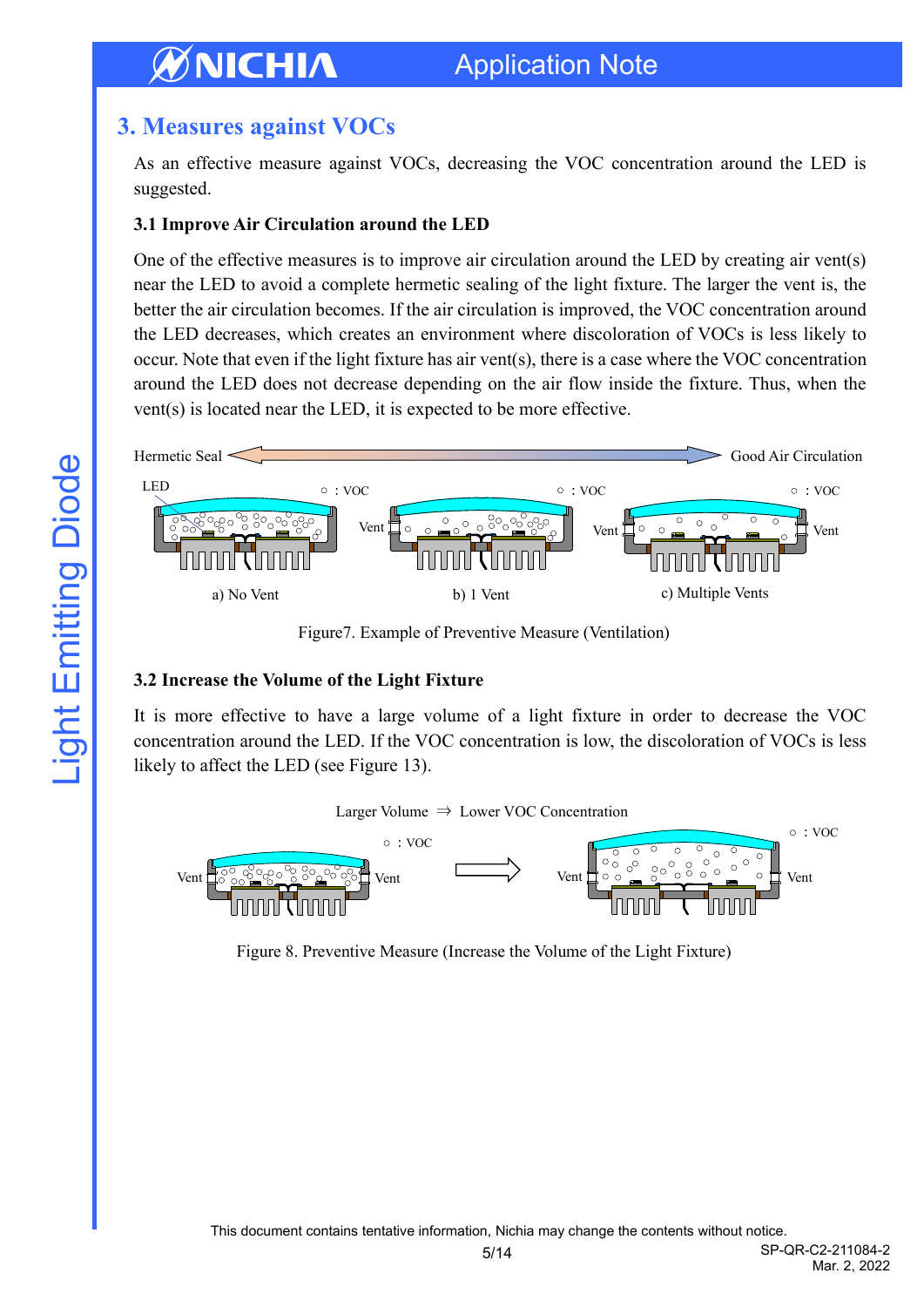## <span id="page-4-0"></span>**3. Measures against VOCs**

As an effective measure against VOCs, decreasing the VOC concentration around the LED is suggested.

#### **3.1 Improve Air Circulation around the LED**

One of the effective measures is to improve air circulation around the LED by creating air vent(s) near the LED to avoid a complete hermetic sealing of the light fixture. The larger the vent is, the better the air circulation becomes. If the air circulation is improved, the VOC concentration around the LED decreases, which creates an environment where discoloration of VOCs is less likely to occur. Note that even if the light fixture has air vent(s), there is a case where the VOC concentration around the LED does not decrease depending on the air flow inside the fixture. Thus, when the vent(s) is located near the LED, it is expected to be more effective.



Figure7. Example of Preventive Measure (Ventilation)

#### **3.2 Increase the Volume of the Light Fixture**

It is more effective to have a large volume of a light fixture in order to decrease the VOC concentration around the LED. If the VOC concentration is low, the discoloration of VOCs is less likely to affect the LED (see Figure 13).



Figure 8. Preventive Measure (Increase the Volume of the Light Fixture)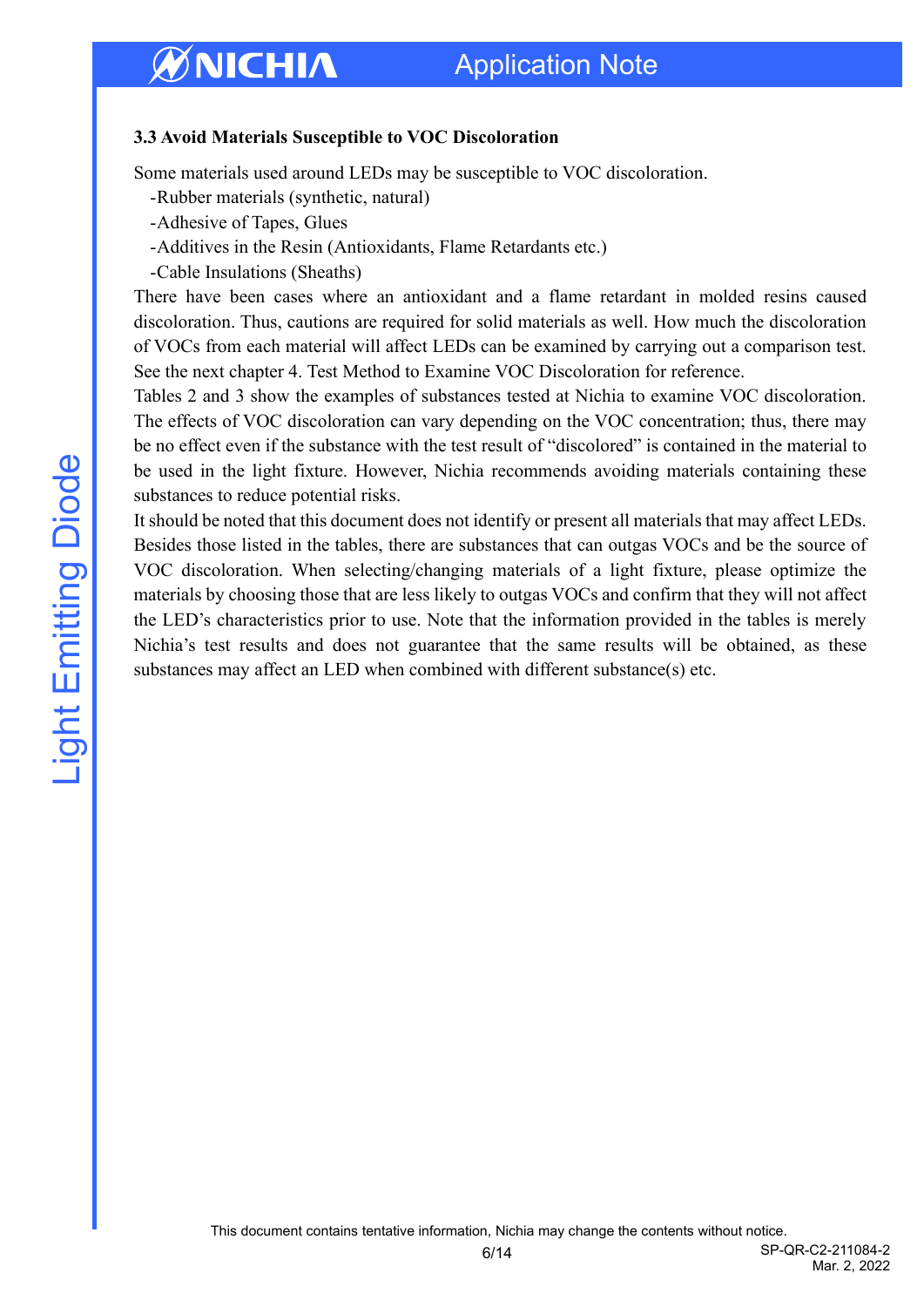## Application Note

#### **3.3 Avoid Materials Susceptible to VOC Discoloration**

Some materials used around LEDs may be susceptible to VOC discoloration.

- -Rubber materials (synthetic, natural)
- -Adhesive of Tapes, Glues
- -Additives in the Resin (Antioxidants, Flame Retardants etc.)
- -Cable Insulations (Sheaths)

There have been cases where an antioxidant and a flame retardant in molded resins caused discoloration. Thus, cautions are required for solid materials as well. How much the discoloration of VOCs from each material will affect LEDs can be examined by carrying out a comparison test. See the next chapter 4. Test Method to Examine VOC Discoloration for reference.

Tables 2 and 3 show the examples of substances tested at Nichia to examine VOC discoloration. The effects of VOC discoloration can vary depending on the VOC concentration; thus, there may be no effect even if the substance with the test result of "discolored" is contained in the material to be used in the light fixture. However, Nichia recommends avoiding materials containing these substances to reduce potential risks.

It should be noted that this document does not identify or present all materials that may affect LEDs. Besides those listed in the tables, there are substances that can outgas VOCs and be the source of VOC discoloration. When selecting/changing materials of a light fixture, please optimize the materials by choosing those that are less likely to outgas VOCs and confirm that they will not affect the LED's characteristics prior to use. Note that the information provided in the tables is merely Nichia's test results and does not guarantee that the same results will be obtained, as these substances may affect an LED when combined with different substance(s) etc.

6/14 SP-QR-C2-211084-2 Mar. 2, 2022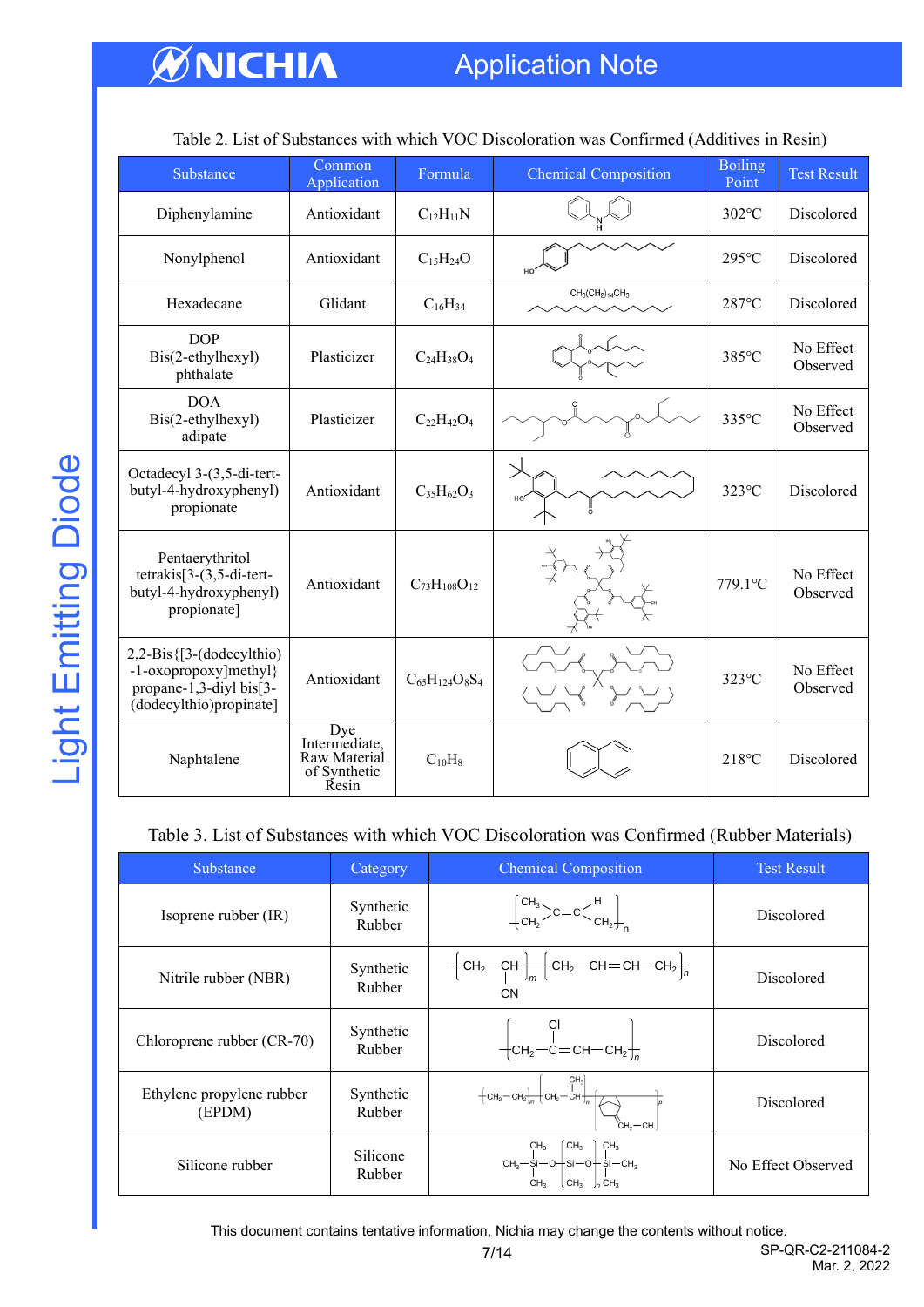## Application Note

| Substance                                                                                                  | Common<br>Application                                                | Formula               | <b>Chemical Composition</b> | <b>Boiling</b><br>Point | <b>Test Result</b>    |  |
|------------------------------------------------------------------------------------------------------------|----------------------------------------------------------------------|-----------------------|-----------------------------|-------------------------|-----------------------|--|
| Diphenylamine                                                                                              | Antioxidant                                                          | $C_{12}H_{11}N$       |                             | 302°C                   | Discolored            |  |
| Nonylphenol                                                                                                | Antioxidant                                                          | $C_{15}H_{24}O$       |                             | 295°C                   | Discolored            |  |
| Hexadecane                                                                                                 | Glidant                                                              | $C_{16}H_{34}$        | $CH_3(CH_2)_{14}CH_3$       | $287^{\circ}$ C         | Discolored            |  |
| <b>DOP</b><br>Bis(2-ethylhexyl)<br>phthalate                                                               | Plasticizer                                                          | $C_{24}H_{38}O_4$     |                             | 385°C                   | No Effect<br>Observed |  |
| <b>DOA</b><br>Bis(2-ethylhexyl)<br>adipate                                                                 | Plasticizer                                                          | $C_{22}H_{42}O_4$     |                             | 335°C                   | No Effect<br>Observed |  |
| Octadecyl 3-(3,5-di-tert-<br>butyl-4-hydroxyphenyl)<br>propionate                                          | Antioxidant                                                          | $C_{35}H_{62}O_3$     |                             | 323°C                   | Discolored            |  |
| Pentaerythritol<br>$tetrakis[3-(3,5-di-tert-$<br>butyl-4-hydroxyphenyl)<br>propionate]                     | Antioxidant                                                          | $C_{73}H_{108}O_{12}$ |                             | 779.1°C                 | No Effect<br>Observed |  |
| $2,2-Bis$ {[3-(dodecylthio)<br>-1-oxopropoxy]methyl}<br>propane-1,3-diyl bis[3-<br>(dodecylthio)propinate] | Antioxidant                                                          | $C_{65}H_{124}O_8S_4$ |                             | 323°C                   | No Effect<br>Observed |  |
| Naphtalene                                                                                                 | <b>Dye</b><br>Intermediate,<br>Raw Material<br>of Synthetic<br>Řesin | $C_{10}H_8$           |                             | 218°C                   | Discolored            |  |

Table 2. List of Substances with which VOC Discoloration was Confirmed (Additives in Resin)

#### Table 3. List of Substances with which VOC Discoloration was Confirmed (Rubber Materials)

| Substance                           | Category            | <b>Chemical Composition</b>                                                                                                                                        | <b>Test Result</b> |
|-------------------------------------|---------------------|--------------------------------------------------------------------------------------------------------------------------------------------------------------------|--------------------|
| Isoprene rubber (IR)                | Synthetic<br>Rubber | $\begin{bmatrix} \text{CH}_3 \\ \text{CH}_2 \end{bmatrix}$ $c = c \begin{bmatrix} \text{CH}_2 \\ \text{CH}_2 \end{bmatrix}$                                        | Discolored         |
| Nitrile rubber (NBR)                | Synthetic<br>Rubber | $+$ CH <sub>2</sub> -CH $+$ <sub>m</sub> $+$ CH <sub>2</sub> -CH=CH-CH <sub>2</sub> $+$ <sub>n</sub><br>CN                                                         | Discolored         |
| Chloroprene rubber (CR-70)          | Synthetic<br>Rubber | $-$ CH <sub>2</sub> -C=CH-CH <sub>2</sub> <sup>-</sup> <sub>n</sub>                                                                                                | Discolored         |
| Ethylene propylene rubber<br>(EPDM) | Synthetic<br>Rubber | $+$ CH <sub>2</sub> -CH <sub>2</sub> $\frac{C_{H_3}}{I}$ CH <sub>2</sub> -CH <sub>2</sub><br>сн,—сн                                                                | Discolored         |
| Silicone rubber                     | Silicone<br>Rubber  | $\text{CH}_3-\text{Si-O}-\text{Si-O}+\text{Si-O}+\text{Si-CH}_3\\ \text{CH}_3-\text{Si-O}-\text{Si-O}+\text{Si-CH}_3\\ \text{CH}_2\vdash\text{CH}_2\\ \text{CH}_2$ | No Effect Observed |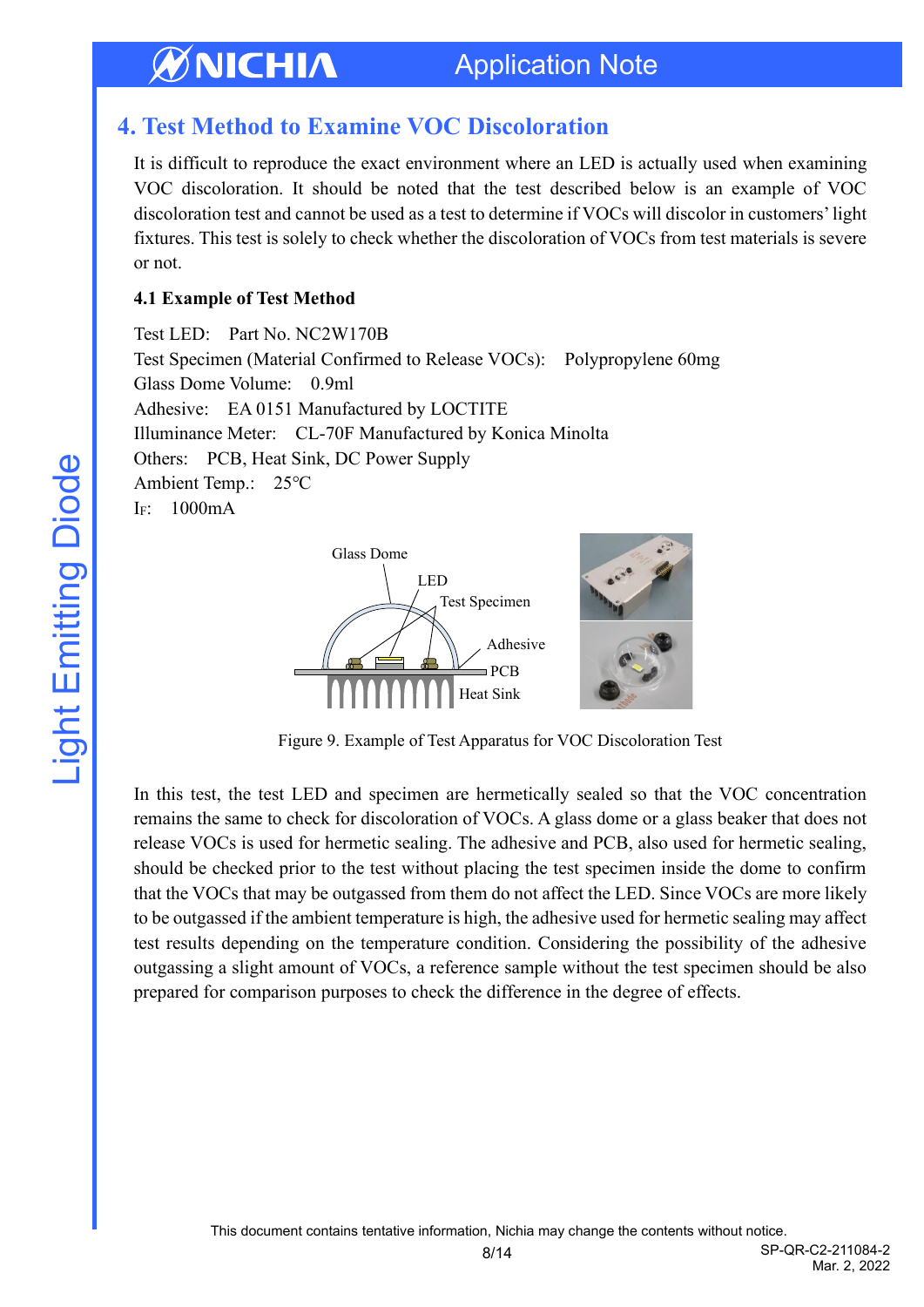## <span id="page-7-0"></span>**4. Test Method to Examine VOC Discoloration**

It is difficult to reproduce the exact environment where an LED is actually used when examining VOC discoloration. It should be noted that the test described below is an example of VOC discoloration test and cannot be used as a test to determine if VOCs will discolor in customers' light fixtures. This test is solely to check whether the discoloration of VOCs from test materials is severe or not.

#### **4.1 Example of Test Method**

Test LED: Part No. NC2W170B Test Specimen (Material Confirmed to Release VOCs): Polypropylene 60mg Glass Dome Volume: 0.9ml Adhesive: EA 0151 Manufactured by LOCTITE Illuminance Meter: CL-70F Manufactured by Konica Minolta Others: PCB, Heat Sink, DC Power Supply Ambient Temp.: 25℃ IF: 1000mA



Figure 9. Example of Test Apparatus for VOC Discoloration Test

In this test, the test LED and specimen are hermetically sealed so that the VOC concentration remains the same to check for discoloration of VOCs. A glass dome or a glass beaker that does not release VOCs is used for hermetic sealing. The adhesive and PCB, also used for hermetic sealing, should be checked prior to the test without placing the test specimen inside the dome to confirm that the VOCs that may be outgassed from them do not affect the LED. Since VOCs are more likely to be outgassed if the ambient temperature is high, the adhesive used for hermetic sealing may affect test results depending on the temperature condition. Considering the possibility of the adhesive outgassing a slight amount of VOCs, a reference sample without the test specimen should be also prepared for comparison purposes to check the difference in the degree of effects.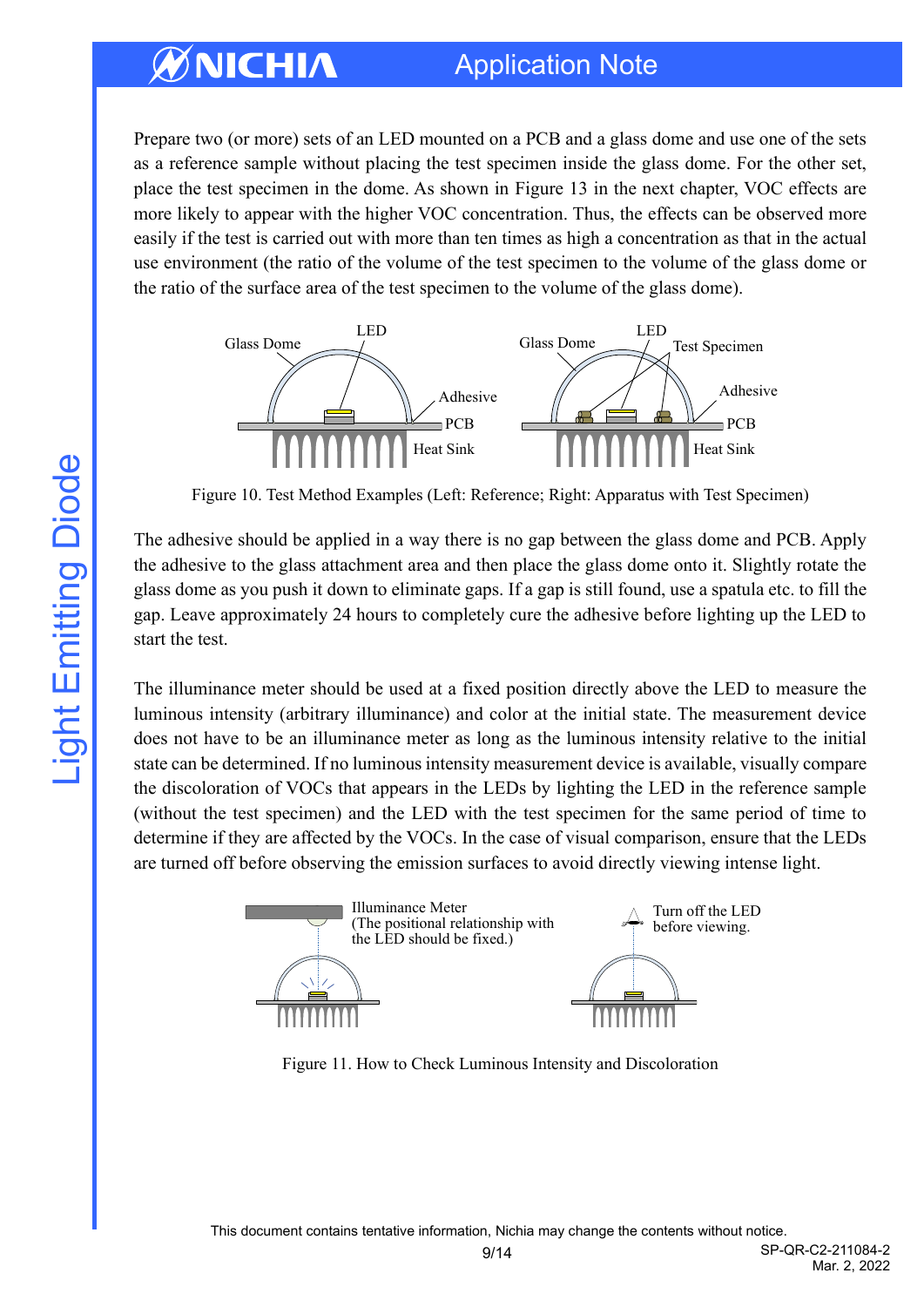## Application Note

Prepare two (or more) sets of an LED mounted on a PCB and a glass dome and use one of the sets as a reference sample without placing the test specimen inside the glass dome. For the other set, place the test specimen in the dome. As shown in Figure 13 in the next chapter, VOC effects are more likely to appear with the higher VOC concentration. Thus, the effects can be observed more easily if the test is carried out with more than ten times as high a concentration as that in the actual use environment (the ratio of the volume of the test specimen to the volume of the glass dome or the ratio of the surface area of the test specimen to the volume of the glass dome).



Figure 10. Test Method Examples (Left: Reference; Right: Apparatus with Test Specimen)

The adhesive should be applied in a way there is no gap between the glass dome and PCB. Apply the adhesive to the glass attachment area and then place the glass dome onto it. Slightly rotate the glass dome as you push it down to eliminate gaps. If a gap is still found, use a spatula etc. to fill the gap. Leave approximately 24 hours to completely cure the adhesive before lighting up the LED to start the test.

The illuminance meter should be used at a fixed position directly above the LED to measure the luminous intensity (arbitrary illuminance) and color at the initial state. The measurement device does not have to be an illuminance meter as long as the luminous intensity relative to the initial state can be determined. If no luminous intensity measurement device is available, visually compare the discoloration of VOCs that appears in the LEDs by lighting the LED in the reference sample (without the test specimen) and the LED with the test specimen for the same period of time to determine if they are affected by the VOCs. In the case of visual comparison, ensure that the LEDs are turned off before observing the emission surfaces to avoid directly viewing intense light.



Figure 11. How to Check Luminous Intensity and Discoloration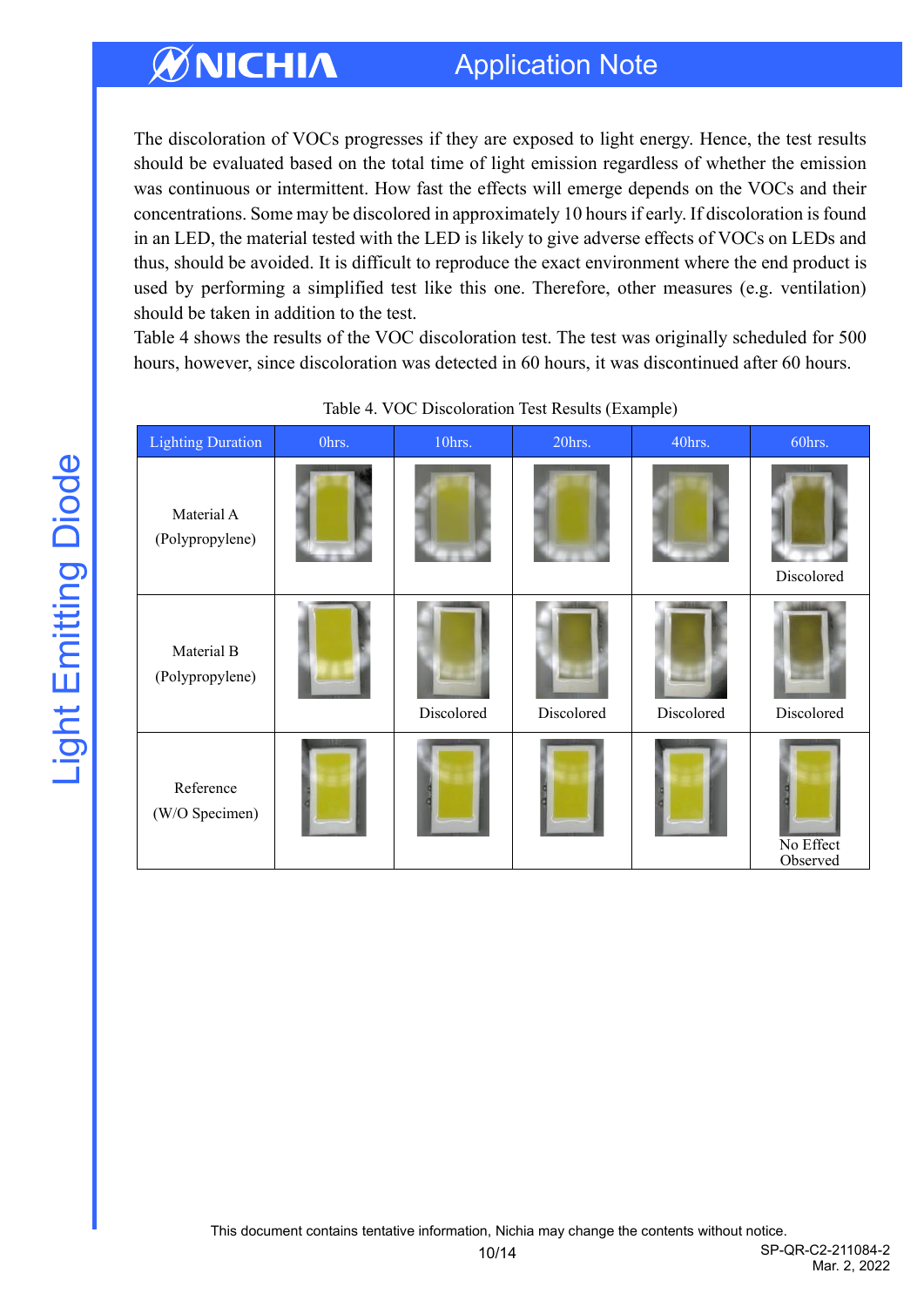## Application Note

The discoloration of VOCs progresses if they are exposed to light energy. Hence, the test results should be evaluated based on the total time of light emission regardless of whether the emission was continuous or intermittent. How fast the effects will emerge depends on the VOCs and their concentrations. Some may be discolored in approximately 10 hours if early. If discoloration is found in an LED, the material tested with the LED is likely to give adverse effects of VOCs on LEDs and thus, should be avoided. It is difficult to reproduce the exact environment where the end product is used by performing a simplified test like this one. Therefore, other measures (e.g. ventilation) should be taken in addition to the test.

Table 4 shows the results of the VOC discoloration test. The test was originally scheduled for 500 hours, however, since discoloration was detected in 60 hours, it was discontinued after 60 hours.

| <b>Lighting Duration</b>      | Ohrs. | $10$ hrs.  | 20hrs.     | 40hrs.     | 60hrs.                |
|-------------------------------|-------|------------|------------|------------|-----------------------|
| Material A<br>(Polypropylene) |       |            |            |            | Discolored            |
| Material B<br>(Polypropylene) |       | Discolored | Discolored | Discolored | Discolored            |
| Reference<br>(W/O Specimen)   |       |            |            |            | No Effect<br>Observed |

Table 4. VOC Discoloration Test Results (Example)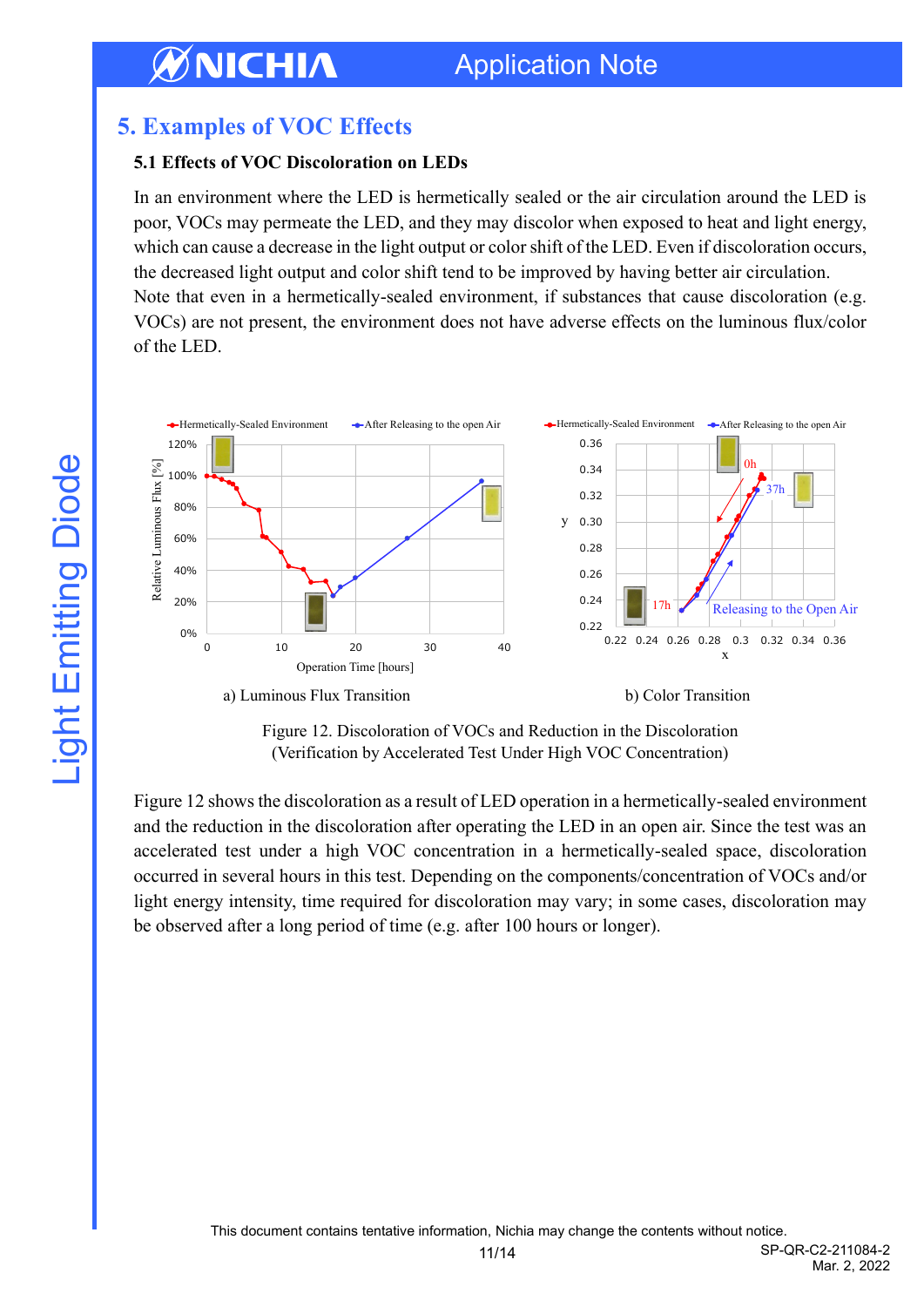## <span id="page-10-0"></span>**5. Examples of VOC Effects**

#### **5.1 Effects of VOC Discoloration on LEDs**

In an environment where the LED is hermetically sealed or the air circulation around the LED is poor, VOCs may permeate the LED, and they may discolor when exposed to heat and light energy, which can cause a decrease in the light output or color shift of the LED. Even if discoloration occurs, the decreased light output and color shift tend to be improved by having better air circulation. Note that even in a hermetically-sealed environment, if substances that cause discoloration (e.g. VOCs) are not present, the environment does not have adverse effects on the luminous flux/color of the LED.



Figure 12. Discoloration of VOCs and Reduction in the Discoloration (Verification by Accelerated Test Under High VOC Concentration)

Figure 12 shows the discoloration as a result of LED operation in a hermetically-sealed environment and the reduction in the discoloration after operating the LED in an open air. Since the test was an accelerated test under a high VOC concentration in a hermetically-sealed space, discoloration occurred in several hours in this test. Depending on the components/concentration of VOCs and/or light energy intensity, time required for discoloration may vary; in some cases, discoloration may be observed after a long period of time (e.g. after 100 hours or longer).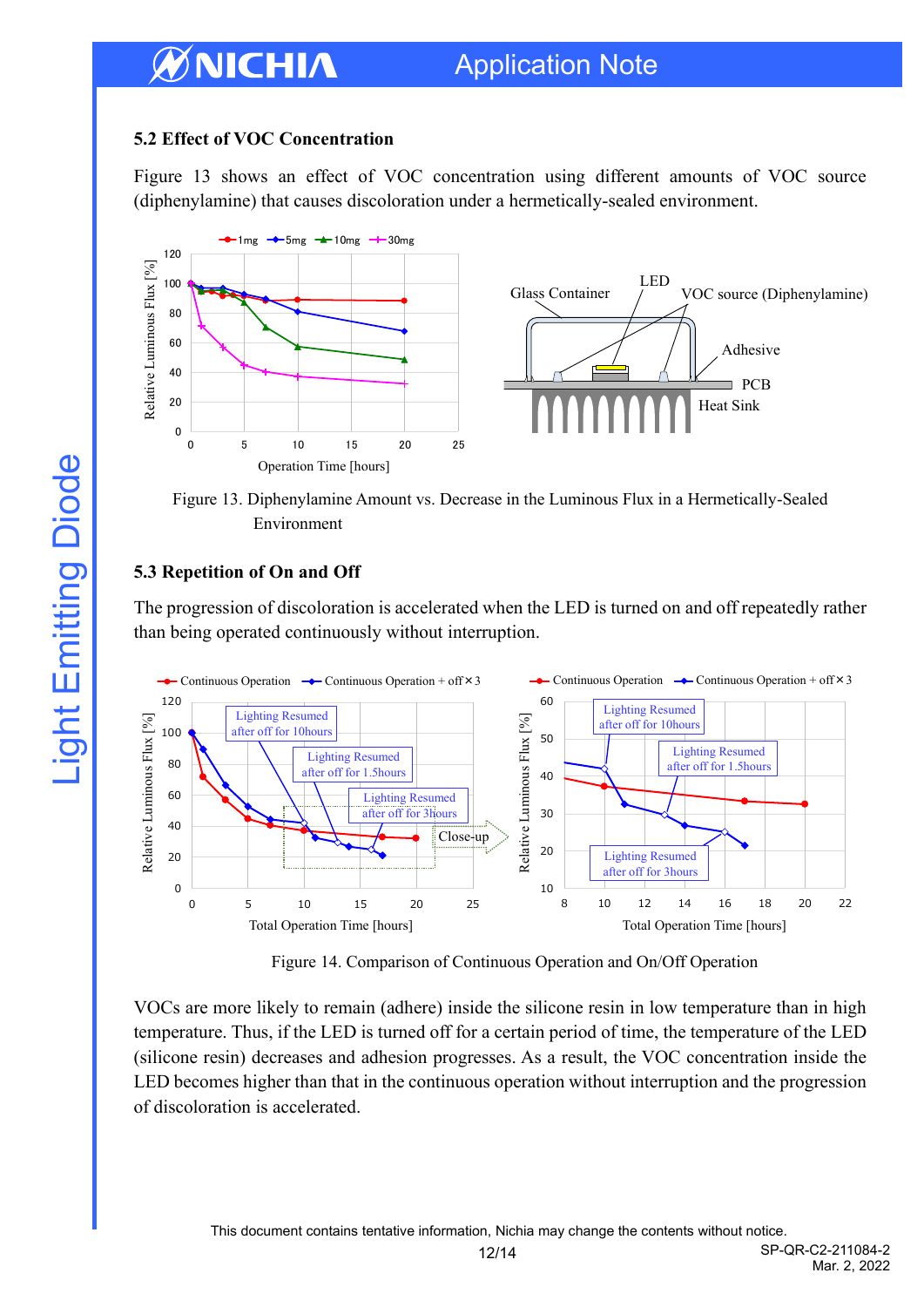#### **5.2 Effect of VOC Concentration**

Figure 13 shows an effect of VOC concentration using different amounts of VOC source (diphenylamine) that causes discoloration under a hermetically-sealed environment.



Figure 13. Diphenylamine Amount vs. Decrease in the Luminous Flux in a Hermetically-Sealed Environment

#### **5.3 Repetition of On and Off**

The progression of discoloration is accelerated when the LED is turned on and off repeatedly rather than being operated continuously without interruption.



Figure 14. Comparison of Continuous Operation and On/Off Operation

VOCs are more likely to remain (adhere) inside the silicone resin in low temperature than in high temperature. Thus, if the LED is turned off for a certain period of time, the temperature of the LED (silicone resin) decreases and adhesion progresses. As a result, the VOC concentration inside the LED becomes higher than that in the continuous operation without interruption and the progression of discoloration is accelerated.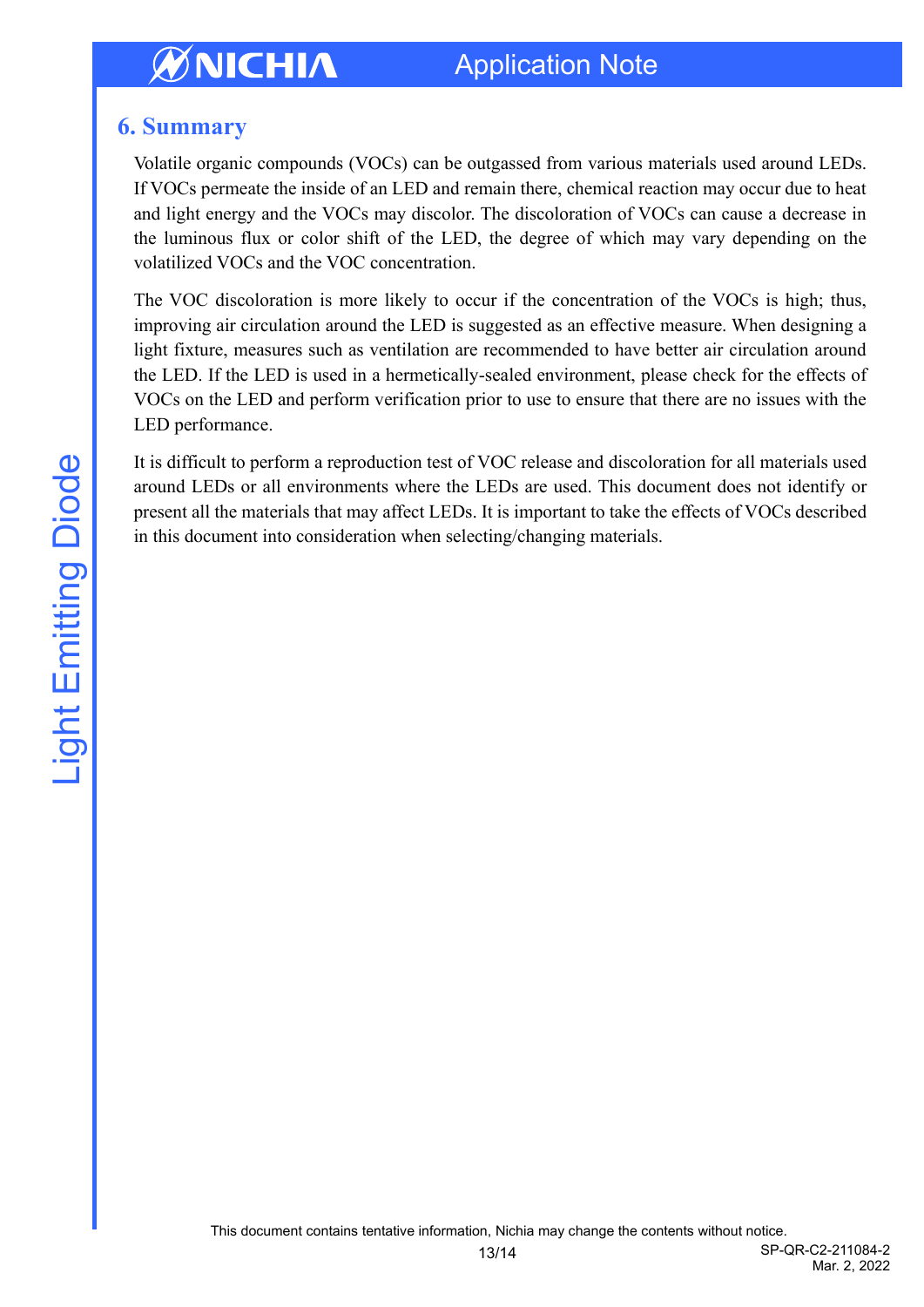## Application Note

### <span id="page-12-0"></span>**6. Summary**

Volatile organic compounds (VOCs) can be outgassed from various materials used around LEDs. If VOCs permeate the inside of an LED and remain there, chemical reaction may occur due to heat and light energy and the VOCs may discolor. The discoloration of VOCs can cause a decrease in the luminous flux or color shift of the LED, the degree of which may vary depending on the volatilized VOCs and the VOC concentration.

The VOC discoloration is more likely to occur if the concentration of the VOCs is high; thus, improving air circulation around the LED is suggested as an effective measure. When designing a light fixture, measures such as ventilation are recommended to have better air circulation around the LED. If the LED is used in a hermetically-sealed environment, please check for the effects of VOCs on the LED and perform verification prior to use to ensure that there are no issues with the LED performance.

It is difficult to perform a reproduction test of VOC release and discoloration for all materials used around LEDs or all environments where the LEDs are used. This document does not identify or present all the materials that may affect LEDs. It is important to take the effects of VOCs described in this document into consideration when selecting/changing materials.